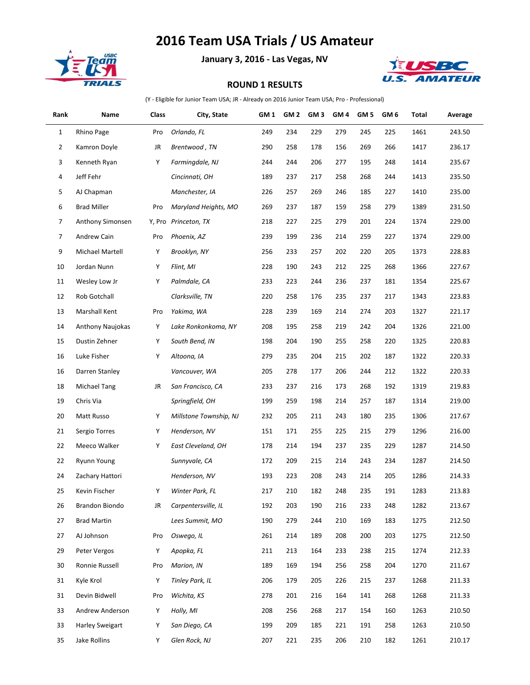## **2016 Team USA Trials / US Amateur**



**January 3, 2016 - Las Vegas, NV**



## **ROUND 1 RESULTS**

(Y - Eligible for Junior Team USA; JR - Already on 2016 Junior Team USA; Pro - Professional)

| Rank           | Name                   | Class | City, State            | GM 1 | GM 2 | GM <sub>3</sub> | GM 4 | GM 5 | GM <sub>6</sub> | Total | Average |
|----------------|------------------------|-------|------------------------|------|------|-----------------|------|------|-----------------|-------|---------|
| $\mathbf{1}$   | Rhino Page             | Pro   | Orlando, FL            | 249  | 234  | 229             | 279  | 245  | 225             | 1461  | 243.50  |
| $\overline{2}$ | Kamron Doyle           | JR    | Brentwood, TN          | 290  | 258  | 178             | 156  | 269  | 266             | 1417  | 236.17  |
| 3              | Kenneth Ryan           | Υ     | Farmingdale, NJ        | 244  | 244  | 206             | 277  | 195  | 248             | 1414  | 235.67  |
| 4              | Jeff Fehr              |       | Cincinnati, OH         | 189  | 237  | 217             | 258  | 268  | 244             | 1413  | 235.50  |
| 5              | AJ Chapman             |       | Manchester, IA         | 226  | 257  | 269             | 246  | 185  | 227             | 1410  | 235.00  |
| 6              | <b>Brad Miller</b>     | Pro   | Maryland Heights, MO   | 269  | 237  | 187             | 159  | 258  | 279             | 1389  | 231.50  |
| $\overline{7}$ | Anthony Simonsen       |       | Y, Pro Princeton, TX   | 218  | 227  | 225             | 279  | 201  | 224             | 1374  | 229.00  |
| 7              | Andrew Cain            | Pro   | Phoenix, AZ            | 239  | 199  | 236             | 214  | 259  | 227             | 1374  | 229.00  |
| 9              | Michael Martell        | Υ     | Brooklyn, NY           | 256  | 233  | 257             | 202  | 220  | 205             | 1373  | 228.83  |
| 10             | Jordan Nunn            | Υ     | Flint, MI              | 228  | 190  | 243             | 212  | 225  | 268             | 1366  | 227.67  |
| 11             | Wesley Low Jr          | Y     | Palmdale, CA           | 233  | 223  | 244             | 236  | 237  | 181             | 1354  | 225.67  |
| 12             | Rob Gotchall           |       | Clarksville, TN        | 220  | 258  | 176             | 235  | 237  | 217             | 1343  | 223.83  |
| 13             | Marshall Kent          | Pro   | Yakima, WA             | 228  | 239  | 169             | 214  | 274  | 203             | 1327  | 221.17  |
| 14             | Anthony Naujokas       | Υ     | Lake Ronkonkoma, NY    | 208  | 195  | 258             | 219  | 242  | 204             | 1326  | 221.00  |
| 15             | Dustin Zehner          | Υ     | South Bend, IN         | 198  | 204  | 190             | 255  | 258  | 220             | 1325  | 220.83  |
| 16             | Luke Fisher            | Υ     | Altoona, IA            | 279  | 235  | 204             | 215  | 202  | 187             | 1322  | 220.33  |
| 16             | Darren Stanley         |       | Vancouver, WA          | 205  | 278  | 177             | 206  | 244  | 212             | 1322  | 220.33  |
| 18             | <b>Michael Tang</b>    | JR    | San Francisco, CA      | 233  | 237  | 216             | 173  | 268  | 192             | 1319  | 219.83  |
| 19             | Chris Via              |       | Springfield, OH        | 199  | 259  | 198             | 214  | 257  | 187             | 1314  | 219.00  |
| 20             | Matt Russo             | Υ     | Millstone Township, NJ | 232  | 205  | 211             | 243  | 180  | 235             | 1306  | 217.67  |
| 21             | Sergio Torres          | Υ     | Henderson, NV          | 151  | 171  | 255             | 225  | 215  | 279             | 1296  | 216.00  |
| 22             | Meeco Walker           | Y     | East Cleveland, OH     | 178  | 214  | 194             | 237  | 235  | 229             | 1287  | 214.50  |
| 22             | Ryunn Young            |       | Sunnyvale, CA          | 172  | 209  | 215             | 214  | 243  | 234             | 1287  | 214.50  |
| 24             | Zachary Hattori        |       | Henderson, NV          | 193  | 223  | 208             | 243  | 214  | 205             | 1286  | 214.33  |
| 25             | Kevin Fischer          | Y     | Winter Park, FL        | 217  | 210  | 182             | 248  | 235  | 191             | 1283  | 213.83  |
| 26             | Brandon Biondo         | JR    | Carpentersville, IL    | 192  | 203  | 190             | 216  | 233  | 248             | 1282  | 213.67  |
| 27             | <b>Brad Martin</b>     |       | Lees Summit, MO        | 190  | 279  | 244             | 210  | 169  | 183             | 1275  | 212.50  |
| 27             | AJ Johnson             | Pro   | Oswego, IL             | 261  | 214  | 189             | 208  | 200  | 203             | 1275  | 212.50  |
| 29             | Peter Vergos           | Υ     | Apopka, FL             | 211  | 213  | 164             | 233  | 238  | 215             | 1274  | 212.33  |
| 30             | Ronnie Russell         | Pro   | Marion, IN             | 189  | 169  | 194             | 256  | 258  | 204             | 1270  | 211.67  |
| 31             | Kyle Krol              | Y     | Tinley Park, IL        | 206  | 179  | 205             | 226  | 215  | 237             | 1268  | 211.33  |
| 31             | Devin Bidwell          | Pro   | Wichita, KS            | 278  | 201  | 216             | 164  | 141  | 268             | 1268  | 211.33  |
| 33             | Andrew Anderson        | Υ     | Holly, MI              | 208  | 256  | 268             | 217  | 154  | 160             | 1263  | 210.50  |
| 33             | <b>Harley Sweigart</b> | Y     | San Diego, CA          | 199  | 209  | 185             | 221  | 191  | 258             | 1263  | 210.50  |
| 35             | Jake Rollins           | Y     | Glen Rock, NJ          | 207  | 221  | 235             | 206  | 210  | 182             | 1261  | 210.17  |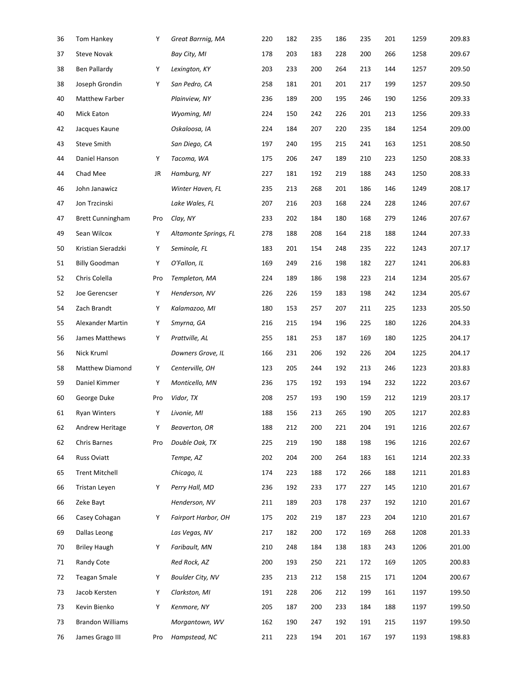| 36 | Tom Hankey              | Υ   | Great Barrnig, MA       | 220 | 182 | 235 | 186 | 235 | 201 | 1259 | 209.83 |
|----|-------------------------|-----|-------------------------|-----|-----|-----|-----|-----|-----|------|--------|
| 37 | <b>Steve Novak</b>      |     | Bay City, MI            | 178 | 203 | 183 | 228 | 200 | 266 | 1258 | 209.67 |
| 38 | Ben Pallardy            | Υ   | Lexington, KY           | 203 | 233 | 200 | 264 | 213 | 144 | 1257 | 209.50 |
| 38 | Joseph Grondin          | Υ   | San Pedro, CA           | 258 | 181 | 201 | 201 | 217 | 199 | 1257 | 209.50 |
| 40 | Matthew Farber          |     | Plainview, NY           | 236 | 189 | 200 | 195 | 246 | 190 | 1256 | 209.33 |
| 40 | <b>Mick Eaton</b>       |     | Wyoming, MI             | 224 | 150 | 242 | 226 | 201 | 213 | 1256 | 209.33 |
| 42 | Jacques Kaune           |     | Oskaloosa, IA           | 224 | 184 | 207 | 220 | 235 | 184 | 1254 | 209.00 |
| 43 | Steve Smith             |     | San Diego, CA           | 197 | 240 | 195 | 215 | 241 | 163 | 1251 | 208.50 |
| 44 | Daniel Hanson           | Υ   | Tacoma, WA              | 175 | 206 | 247 | 189 | 210 | 223 | 1250 | 208.33 |
| 44 | Chad Mee                | JR  | Hamburg, NY             | 227 | 181 | 192 | 219 | 188 | 243 | 1250 | 208.33 |
| 46 | John Janawicz           |     | Winter Haven, FL        | 235 | 213 | 268 | 201 | 186 | 146 | 1249 | 208.17 |
| 47 | Jon Trzcinski           |     | Lake Wales, FL          | 207 | 216 | 203 | 168 | 224 | 228 | 1246 | 207.67 |
| 47 | <b>Brett Cunningham</b> | Pro | Clay, NY                | 233 | 202 | 184 | 180 | 168 | 279 | 1246 | 207.67 |
| 49 | Sean Wilcox             | Υ   | Altamonte Springs, FL   | 278 | 188 | 208 | 164 | 218 | 188 | 1244 | 207.33 |
| 50 | Kristian Sieradzki      | Υ   | Seminole, FL            | 183 | 201 | 154 | 248 | 235 | 222 | 1243 | 207.17 |
| 51 | <b>Billy Goodman</b>    | Υ   | O'Fallon, IL            | 169 | 249 | 216 | 198 | 182 | 227 | 1241 | 206.83 |
| 52 | Chris Colella           | Pro | Templeton, MA           | 224 | 189 | 186 | 198 | 223 | 214 | 1234 | 205.67 |
| 52 | Joe Gerencser           | Υ   | Henderson, NV           | 226 | 226 | 159 | 183 | 198 | 242 | 1234 | 205.67 |
| 54 | Zach Brandt             | Υ   | Kalamazoo, MI           | 180 | 153 | 257 | 207 | 211 | 225 | 1233 | 205.50 |
| 55 | Alexander Martin        | Υ   | Smyrna, GA              | 216 | 215 | 194 | 196 | 225 | 180 | 1226 | 204.33 |
| 56 | James Matthews          | Υ   | Prattville, AL          | 255 | 181 | 253 | 187 | 169 | 180 | 1225 | 204.17 |
| 56 | Nick Kruml              |     | Downers Grove, IL       | 166 | 231 | 206 | 192 | 226 | 204 | 1225 | 204.17 |
| 58 | Matthew Diamond         | Υ   | Centerville, OH         | 123 | 205 | 244 | 192 | 213 | 246 | 1223 | 203.83 |
| 59 | Daniel Kimmer           | Υ   | Monticello, MN          | 236 | 175 | 192 | 193 | 194 | 232 | 1222 | 203.67 |
| 60 | George Duke             | Pro | Vidor, TX               | 208 | 257 | 193 | 190 | 159 | 212 | 1219 | 203.17 |
| 61 | <b>Ryan Winters</b>     | Υ   | Livonie, MI             | 188 | 156 | 213 | 265 | 190 | 205 | 1217 | 202.83 |
| 62 | Andrew Heritage         | Υ   | Beaverton, OR           | 188 | 212 | 200 | 221 | 204 | 191 | 1216 | 202.67 |
| 62 | Chris Barnes            | Pro | Double Oak, TX          | 225 | 219 | 190 | 188 | 198 | 196 | 1216 | 202.67 |
| 64 | Russ Oviatt             |     | Tempe, AZ               | 202 | 204 | 200 | 264 | 183 | 161 | 1214 | 202.33 |
| 65 | <b>Trent Mitchell</b>   |     | Chicago, IL             | 174 | 223 | 188 | 172 | 266 | 188 | 1211 | 201.83 |
| 66 | Tristan Leyen           | Υ   | Perry Hall, MD          | 236 | 192 | 233 | 177 | 227 | 145 | 1210 | 201.67 |
| 66 | Zeke Bayt               |     | Henderson, NV           | 211 | 189 | 203 | 178 | 237 | 192 | 1210 | 201.67 |
| 66 | Casey Cohagan           | Υ   | Fairport Harbor, OH     | 175 | 202 | 219 | 187 | 223 | 204 | 1210 | 201.67 |
| 69 | Dallas Leong            |     | Las Vegas, NV           | 217 | 182 | 200 | 172 | 169 | 268 | 1208 | 201.33 |
| 70 | <b>Briley Haugh</b>     | Υ   | Faribault, MN           | 210 | 248 | 184 | 138 | 183 | 243 | 1206 | 201.00 |
| 71 | Randy Cote              |     | Red Rock, AZ            | 200 | 193 | 250 | 221 | 172 | 169 | 1205 | 200.83 |
| 72 | <b>Teagan Smale</b>     | Υ   | <b>Boulder City, NV</b> | 235 | 213 | 212 | 158 | 215 | 171 | 1204 | 200.67 |
| 73 | Jacob Kersten           | Y   | Clarkston, MI           | 191 | 228 | 206 | 212 | 199 | 161 | 1197 | 199.50 |
| 73 | Kevin Bienko            | Y   | Kenmore, NY             | 205 | 187 | 200 | 233 | 184 | 188 | 1197 | 199.50 |
| 73 | <b>Brandon Williams</b> |     | Morgantown, WV          | 162 | 190 | 247 | 192 | 191 | 215 | 1197 | 199.50 |
| 76 | James Grago III         | Pro | Hampstead, NC           | 211 | 223 | 194 | 201 | 167 | 197 | 1193 | 198.83 |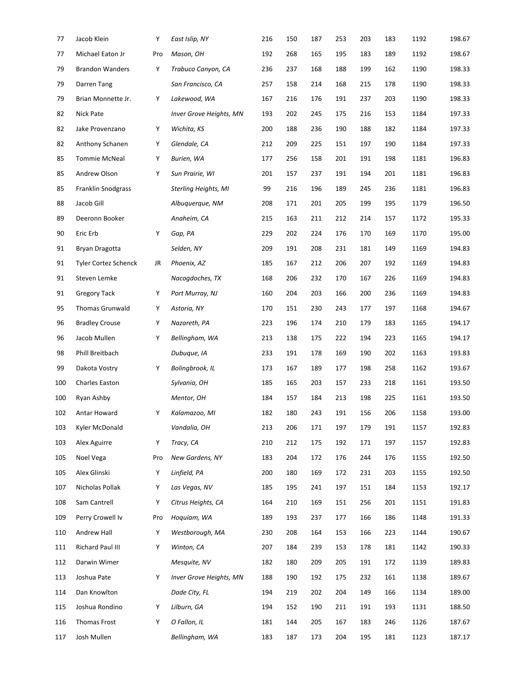| 77  | Jacob Klein                 | Υ   | East Islip, NY          | 216 | 150 | 187 | 253 | 203 | 183 | 1192 | 198.67 |
|-----|-----------------------------|-----|-------------------------|-----|-----|-----|-----|-----|-----|------|--------|
| 77  | Michael Eaton Jr            | Pro | Mason, OH               | 192 | 268 | 165 | 195 | 183 | 189 | 1192 | 198.67 |
| 79  | <b>Brandon Wanders</b>      | Υ   | Trabuco Canyon, CA      | 236 | 237 | 168 | 188 | 199 | 162 | 1190 | 198.33 |
| 79  | Darren Tang                 |     | San Francisco, CA       | 257 | 158 | 214 | 168 | 215 | 178 | 1190 | 198.33 |
| 79  | Brian Monnette Jr.          | Υ   | Lakewood, WA            | 167 | 216 | 176 | 191 | 237 | 203 | 1190 | 198.33 |
| 82  | Nick Pate                   |     | Inver Grove Heights, MN | 193 | 202 | 245 | 175 | 216 | 153 | 1184 | 197.33 |
| 82  | Jake Provenzano             | Υ   | Wichita, KS             | 200 | 188 | 236 | 190 | 188 | 182 | 1184 | 197.33 |
| 82  | Anthony Schanen             | Υ   | Glendale, CA            | 212 | 209 | 225 | 151 | 197 | 190 | 1184 | 197.33 |
| 85  | <b>Tommie McNeal</b>        | Υ   | Burien, WA              | 177 | 256 | 158 | 201 | 191 | 198 | 1181 | 196.83 |
| 85  | Andrew Olson                | Υ   | Sun Prairie, WI         | 201 | 157 | 237 | 191 | 194 | 201 | 1181 | 196.83 |
| 85  | Franklin Snodgrass          |     | Sterling Heights, MI    | 99  | 216 | 196 | 189 | 245 | 236 | 1181 | 196.83 |
| 88  | Jacob Gill                  |     | Albuguergue, NM         | 208 | 171 | 201 | 205 | 199 | 195 | 1179 | 196.50 |
| 89  | Deeronn Booker              |     | Anaheim, CA             | 215 | 163 | 211 | 212 | 214 | 157 | 1172 | 195.33 |
| 90  | Eric Erb                    | Υ   | Gap, PA                 | 229 | 202 | 224 | 176 | 170 | 169 | 1170 | 195.00 |
| 91  | Bryan Dragotta              |     | Selden, NY              | 209 | 191 | 208 | 231 | 181 | 149 | 1169 | 194.83 |
| 91  | <b>Tyler Cortez Schenck</b> | JR  | Phoenix, AZ             | 185 | 167 | 212 | 206 | 207 | 192 | 1169 | 194.83 |
| 91  | Steven Lemke                |     | Nacogdoches, TX         | 168 | 206 | 232 | 170 | 167 | 226 | 1169 | 194.83 |
| 91  | <b>Gregory Tack</b>         | Υ   | Port Murray, NJ         | 160 | 204 | 203 | 166 | 200 | 236 | 1169 | 194.83 |
| 95  | Thomas Grunwald             | Υ   | Astoria, NY             | 170 | 151 | 230 | 243 | 177 | 197 | 1168 | 194.67 |
| 96  | <b>Bradley Crouse</b>       | Υ   | Nazareth, PA            | 223 | 196 | 174 | 210 | 179 | 183 | 1165 | 194.17 |
| 96  | Jacob Mullen                | Υ   | Bellingham, WA          | 213 | 138 | 175 | 222 | 194 | 223 | 1165 | 194.17 |
| 98  | Phill Breitbach             |     | Dubuque, IA             | 233 | 191 | 178 | 169 | 190 | 202 | 1163 | 193.83 |
| 99  | Dakota Vostry               | Υ   | Bolingbrook, IL         | 173 | 167 | 189 | 177 | 198 | 258 | 1162 | 193.67 |
| 100 | Charles Easton              |     | Sylvania, OH            | 185 | 165 | 203 | 157 | 233 | 218 | 1161 | 193.50 |
| 100 | Ryan Ashby                  |     | Mentor, OH              | 184 | 157 | 184 | 213 | 198 | 225 | 1161 | 193.50 |
| 102 | Antar Howard                | Υ   | Kalamazoo, MI           | 182 | 180 | 243 | 191 | 156 | 206 | 1158 | 193.00 |
| 103 | Kyler McDonald              |     | Vandalia, OH            | 213 | 206 | 171 | 197 | 179 | 191 | 1157 | 192.83 |
| 103 | Alex Aguirre                | Υ   | Tracy, CA               | 210 | 212 | 175 | 192 | 171 | 197 | 1157 | 192.83 |
| 105 | Noel Vega                   | Pro | New Gardens, NY         | 183 | 204 | 172 | 176 | 244 | 176 | 1155 | 192.50 |
| 105 | Alex Glinski                | Υ   | Linfield, PA            | 200 | 180 | 169 | 172 | 231 | 203 | 1155 | 192.50 |
| 107 | Nicholas Pollak             | Υ   | Las Vegas, NV           | 185 | 195 | 241 | 197 | 151 | 184 | 1153 | 192.17 |
| 108 | Sam Cantrell                | Υ   | Citrus Heights, CA      | 164 | 210 | 169 | 151 | 256 | 201 | 1151 | 191.83 |
| 109 | Perry Crowell Iv            | Pro | Hoquiam, WA             | 189 | 193 | 237 | 177 | 166 | 186 | 1148 | 191.33 |
| 110 | Andrew Hall                 | Y   | Westborough, MA         | 230 | 208 | 164 | 153 | 166 | 223 | 1144 | 190.67 |
| 111 | Richard Paul III            | Υ   | Winton, CA              | 207 | 184 | 239 | 153 | 178 | 181 | 1142 | 190.33 |
| 112 | Darwin Wimer                |     | Mesquite, NV            | 182 | 180 | 209 | 205 | 191 | 172 | 1139 | 189.83 |
| 113 | Joshua Pate                 | Υ   | Inver Grove Heights, MN | 188 | 190 | 192 | 175 | 232 | 161 | 1138 | 189.67 |
| 114 | Dan Knowlton                |     | Dade City, FL           | 194 | 219 | 202 | 204 | 149 | 166 | 1134 | 189.00 |
| 115 | Joshua Rondino              | Υ   | Lilburn, GA             | 194 | 152 | 190 | 211 | 191 | 193 | 1131 | 188.50 |
| 116 | Thomas Frost                | Y   | O Fallon, IL            | 181 | 144 | 205 | 167 | 183 | 246 | 1126 | 187.67 |
| 117 | Josh Mullen                 |     | Bellingham, WA          | 183 | 187 | 173 | 204 | 195 | 181 | 1123 | 187.17 |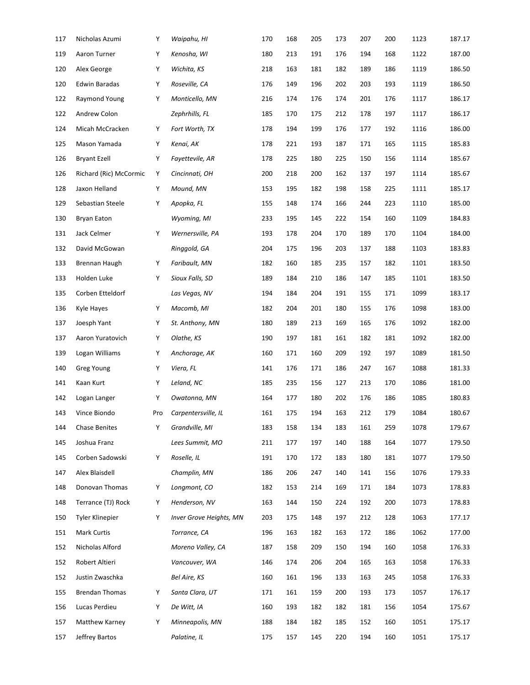| 117 | Nicholas Azumi         | Υ   | Waipahu, HI             | 170 | 168 | 205 | 173 | 207 | 200 | 1123 | 187.17 |
|-----|------------------------|-----|-------------------------|-----|-----|-----|-----|-----|-----|------|--------|
| 119 | Aaron Turner           | Υ   | Kenosha, WI             | 180 | 213 | 191 | 176 | 194 | 168 | 1122 | 187.00 |
| 120 | Alex George            | Υ   | Wichita, KS             | 218 | 163 | 181 | 182 | 189 | 186 | 1119 | 186.50 |
| 120 | Edwin Baradas          | Υ   | Roseville, CA           | 176 | 149 | 196 | 202 | 203 | 193 | 1119 | 186.50 |
| 122 | Raymond Young          | Υ   | Monticello, MN          | 216 | 174 | 176 | 174 | 201 | 176 | 1117 | 186.17 |
| 122 | Andrew Colon           |     | Zephrhills, FL          | 185 | 170 | 175 | 212 | 178 | 197 | 1117 | 186.17 |
| 124 | Micah McCracken        | Υ   | Fort Worth, TX          | 178 | 194 | 199 | 176 | 177 | 192 | 1116 | 186.00 |
| 125 | Mason Yamada           | Υ   | Kenai, AK               | 178 | 221 | 193 | 187 | 171 | 165 | 1115 | 185.83 |
| 126 | <b>Bryant Ezell</b>    | Υ   | Fayettevile, AR         | 178 | 225 | 180 | 225 | 150 | 156 | 1114 | 185.67 |
| 126 | Richard (Ric) McCormic | Υ   | Cincinnati, OH          | 200 | 218 | 200 | 162 | 137 | 197 | 1114 | 185.67 |
| 128 | Jaxon Helland          | Υ   | Mound, MN               | 153 | 195 | 182 | 198 | 158 | 225 | 1111 | 185.17 |
| 129 | Sebastian Steele       | Υ   | Apopka, FL              | 155 | 148 | 174 | 166 | 244 | 223 | 1110 | 185.00 |
| 130 | Bryan Eaton            |     | Wyoming, MI             | 233 | 195 | 145 | 222 | 154 | 160 | 1109 | 184.83 |
| 131 | Jack Celmer            | Υ   | Wernersville, PA        | 193 | 178 | 204 | 170 | 189 | 170 | 1104 | 184.00 |
| 132 | David McGowan          |     | Ringgold, GA            | 204 | 175 | 196 | 203 | 137 | 188 | 1103 | 183.83 |
| 133 | Brennan Haugh          | Υ   | Faribault, MN           | 182 | 160 | 185 | 235 | 157 | 182 | 1101 | 183.50 |
| 133 | Holden Luke            | Υ   | Sioux Falls, SD         | 189 | 184 | 210 | 186 | 147 | 185 | 1101 | 183.50 |
| 135 | Corben Etteldorf       |     | Las Vegas, NV           | 194 | 184 | 204 | 191 | 155 | 171 | 1099 | 183.17 |
| 136 | Kyle Hayes             | Υ   | Macomb, MI              | 182 | 204 | 201 | 180 | 155 | 176 | 1098 | 183.00 |
| 137 | Joesph Yant            | Υ   | St. Anthony, MN         | 180 | 189 | 213 | 169 | 165 | 176 | 1092 | 182.00 |
| 137 | Aaron Yuratovich       | Υ   | Olathe, KS              | 190 | 197 | 181 | 161 | 182 | 181 | 1092 | 182.00 |
| 139 | Logan Williams         | Υ   | Anchorage, AK           | 160 | 171 | 160 | 209 | 192 | 197 | 1089 | 181.50 |
| 140 | Greg Young             | Υ   | Viera, FL               | 141 | 176 | 171 | 186 | 247 | 167 | 1088 | 181.33 |
| 141 | Kaan Kurt              | Υ   | Leland, NC              | 185 | 235 | 156 | 127 | 213 | 170 | 1086 | 181.00 |
| 142 | Logan Langer           | Υ   | Owatonna, MN            | 164 | 177 | 180 | 202 | 176 | 186 | 1085 | 180.83 |
| 143 | Vince Biondo           | Pro | Carpentersville, IL     | 161 | 175 | 194 | 163 | 212 | 179 | 1084 | 180.67 |
| 144 | <b>Chase Benites</b>   | Υ   | Grandville, MI          | 183 | 158 | 134 | 183 | 161 | 259 | 1078 | 179.67 |
| 145 | Joshua Franz           |     | Lees Summit, MO         | 211 | 177 | 197 | 140 | 188 | 164 | 1077 | 179.50 |
| 145 | Corben Sadowski        | Υ   | Roselle, IL             | 191 | 170 | 172 | 183 | 180 | 181 | 1077 | 179.50 |
| 147 | Alex Blaisdell         |     | Champlin, MN            | 186 | 206 | 247 | 140 | 141 | 156 | 1076 | 179.33 |
| 148 | Donovan Thomas         | Υ   | Longmont, CO            | 182 | 153 | 214 | 169 | 171 | 184 | 1073 | 178.83 |
| 148 | Terrance (TJ) Rock     | Υ   | Henderson, NV           | 163 | 144 | 150 | 224 | 192 | 200 | 1073 | 178.83 |
| 150 | Tyler Klinepier        | Υ   | Inver Grove Heights, MN | 203 | 175 | 148 | 197 | 212 | 128 | 1063 | 177.17 |
| 151 | Mark Curtis            |     | Torrance, CA            | 196 | 163 | 182 | 163 | 172 | 186 | 1062 | 177.00 |
| 152 | Nicholas Alford        |     | Moreno Valley, CA       | 187 | 158 | 209 | 150 | 194 | 160 | 1058 | 176.33 |
| 152 | Robert Altieri         |     | Vancouver, WA           | 146 | 174 | 206 | 204 | 165 | 163 | 1058 | 176.33 |
| 152 | Justin Zwaschka        |     | Bel Aire, KS            | 160 | 161 | 196 | 133 | 163 | 245 | 1058 | 176.33 |
| 155 | <b>Brendan Thomas</b>  | Υ   | Santa Clara, UT         | 171 | 161 | 159 | 200 | 193 | 173 | 1057 | 176.17 |
| 156 | Lucas Perdieu          | Υ   | De Witt, IA             | 160 | 193 | 182 | 182 | 181 | 156 | 1054 | 175.67 |
| 157 | Matthew Karney         | Υ   | Minneapolis, MN         | 188 | 184 | 182 | 185 | 152 | 160 | 1051 | 175.17 |
| 157 | Jeffrey Bartos         |     | Palatine, IL            | 175 | 157 | 145 | 220 | 194 | 160 | 1051 | 175.17 |